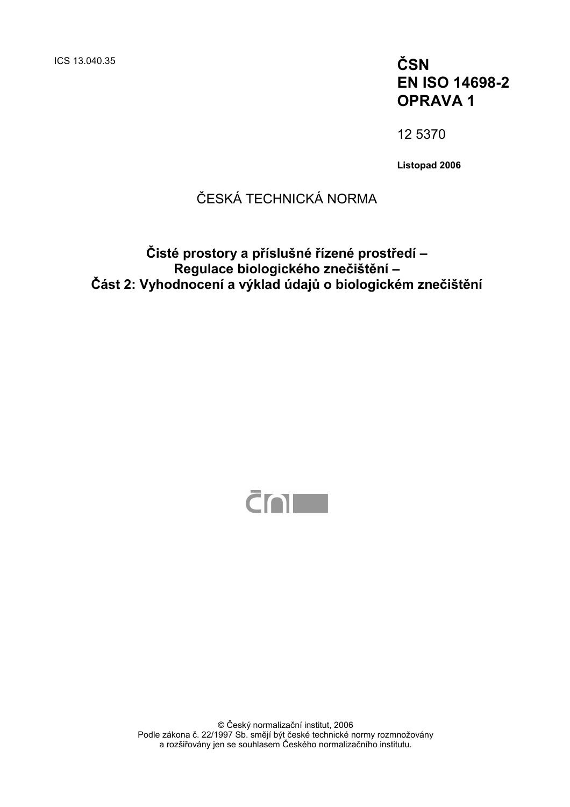# **EN ISO 14698-2 OPRAVA 1**

12 5370

**Listopad 2006** 

# ČESKÁ TECHNICKÁ NORMA

## **Čisté prostory a příslušné řízené prostředí – Regulace biologického znečištění – Část 2: Vyhodnocení a výklad údajů o biologickém znečištění**



© Český normalizační institut, 2006 Podle zákona č. 22/1997 Sb. smějí být české technické normy rozmnožovány a rozšiřovány jen se souhlasem Českého normalizačního institutu.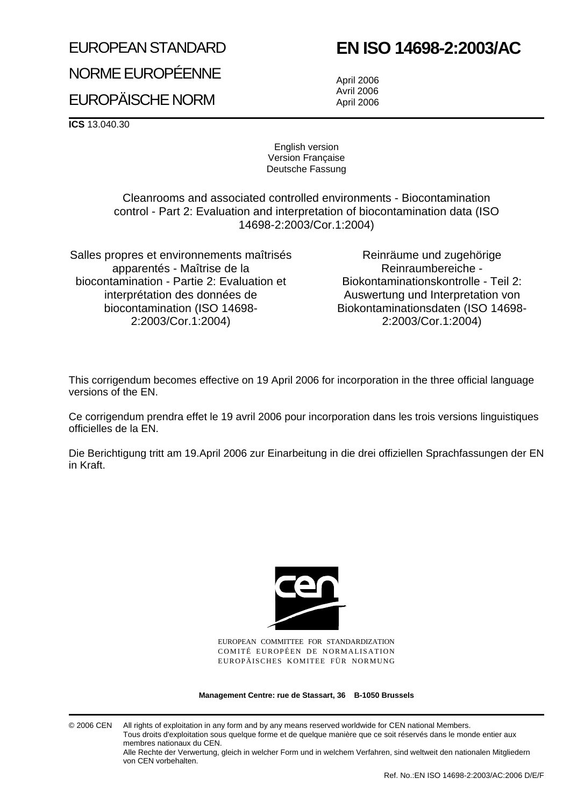# EUROPEAN STANDARD

# **EN ISO 14698-2:2003/AC**

NORME EUROPÉENNE EUROPÄISCHE NORM

April 2006 Avril 2006 April 2006

**ICS** 13.040.30

English version Version Française Deutsche Fassung

Cleanrooms and associated controlled environments - Biocontamination control - Part 2: Evaluation and interpretation of biocontamination data (ISO 14698-2:2003/Cor.1:2004)

Salles propres et environnements maîtrisés apparentés - Maîtrise de la biocontamination - Partie 2: Evaluation et interprétation des données de biocontamination (ISO 14698- 2:2003/Cor.1:2004)

Reinräume und zugehörige Reinraumbereiche - Biokontaminationskontrolle - Teil 2: Auswertung und Interpretation von Biokontaminationsdaten (ISO 14698- 2:2003/Cor.1:2004)

This corrigendum becomes effective on 19 April 2006 for incorporation in the three official language versions of the EN.

Ce corrigendum prendra effet le 19 avril 2006 pour incorporation dans les trois versions linguistiques officielles de la EN.

Die Berichtigung tritt am 19.April 2006 zur Einarbeitung in die drei offiziellen Sprachfassungen der EN in Kraft.



EUROPEAN COMMITTEE FOR STANDARDIZATION COMITÉ EUROPÉEN DE NORMALISATION EUROPÄISCHES KOMITEE FÜR NORMUNG

**Management Centre: rue de Stassart, 36 B-1050 Brussels**

© 2006 CEN All rights of exploitation in any form and by any means reserved worldwide for CEN national Members. Tous droits d'exploitation sous quelque forme et de quelque manière que ce soit réservés dans le monde entier aux membres nationaux du CEN.

Alle Rechte der Verwertung, gleich in welcher Form und in welchem Verfahren, sind weltweit den nationalen Mitgliedern von CEN vorbehalten.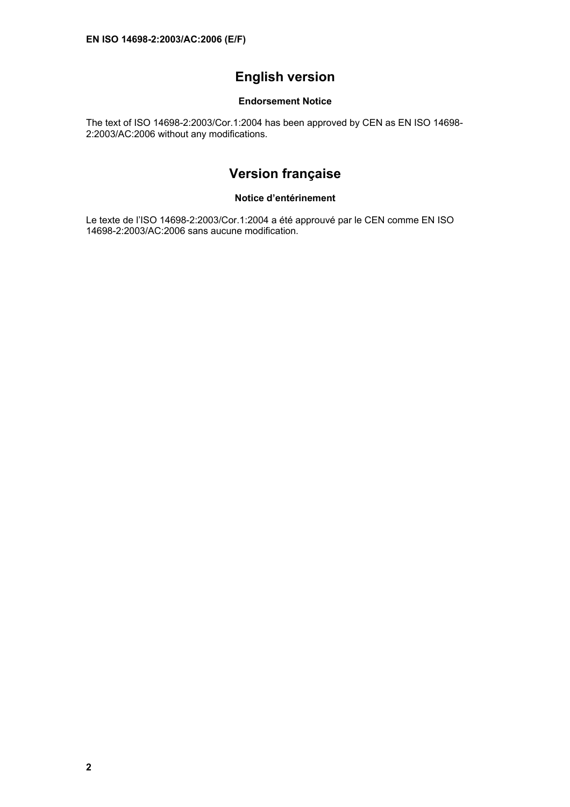## **English version**

#### **Endorsement Notice**

The text of ISO 14698-2:2003/Cor.1:2004 has been approved by CEN as EN ISO 14698- 2:2003/AC:2006 without any modifications.

## **Version française**

#### **Notice d'entérinement**

Le texte de l'ISO 14698-2:2003/Cor.1:2004 a été approuvé par le CEN comme EN ISO 14698-2:2003/AC:2006 sans aucune modification.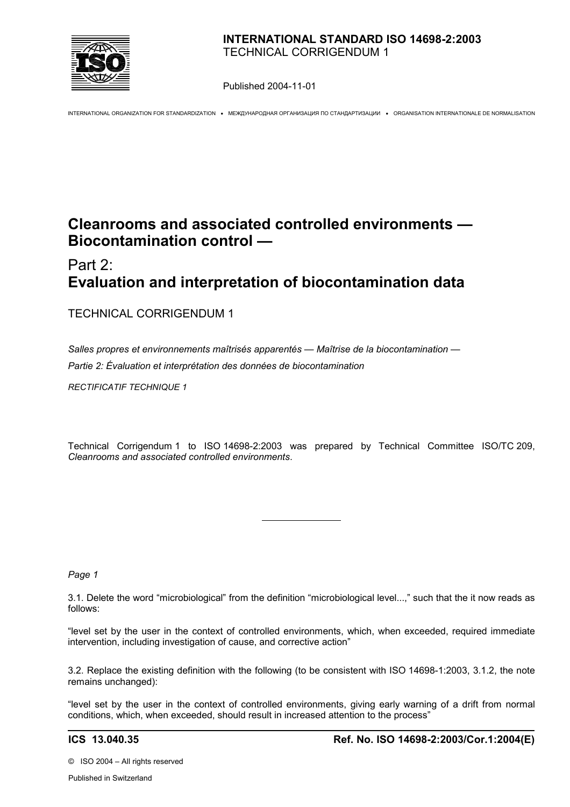

Published 2004-11-01

INTERNATIONAL ORGANIZATION FOR STANDARDIZATION • МЕЖДУНАРОДНАЯ ОРГАНИЗАЦИЯ ПО СТАНДАРТИЗАЦИИ • ORGANISATION INTERNATIONALE DE NORMALISATION

# **Cleanrooms and associated controlled environments — Biocontamination control —**

# Part 2: **Evaluation and interpretation of biocontamination data**

#### TECHNICAL CORRIGENDUM 1

*Salles propres et environnements maîtrisés apparentés — Maîtrise de la biocontamination — Partie 2: Évaluation et interprétation des données de biocontamination*

 $\overline{a}$ 

*RECTIFICATIF TECHNIQUE 1*

Technical Corrigendum 1 to ISO 14698-2:2003 was prepared by Technical Committee ISO/TC 209, *Cleanrooms and associated controlled environments*.

#### *Page 1*

3.1. Delete the word "microbiological" from the definition "microbiological level...," such that the it now reads as follows:

"level set by the user in the context of controlled environments, which, when exceeded, required immediate intervention, including investigation of cause, and corrective action"

3.2. Replace the existing definition with the following (to be consistent with ISO 14698-1:2003, 3.1.2, the note remains unchanged):

"level set by the user in the context of controlled environments, giving early warning of a drift from normal conditions, which, when exceeded, should result in increased attention to the process"

©ISO 2004 – All rights reserved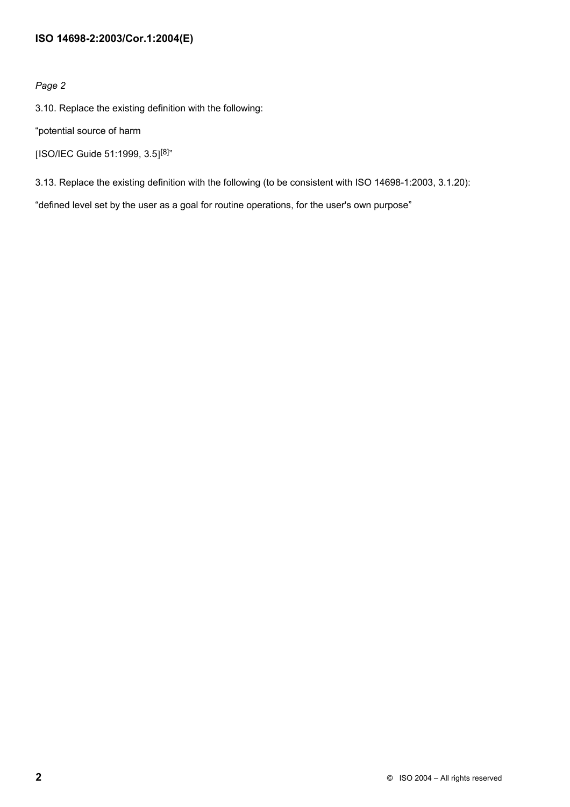#### **ISO 14698-2:2003/Cor.1:2004(E)**

#### *Page 2*

3.10. Replace the existing definition with the following:

"potential source of harm

```
[ISO/IEC Guide 51:1999, 3.5]<sup>[8]</sup>"
```
3.13. Replace the existing definition with the following (to be consistent with ISO 14698-1:2003, 3.1.20):

"defined level set by the user as a goal for routine operations, for the user's own purpose"